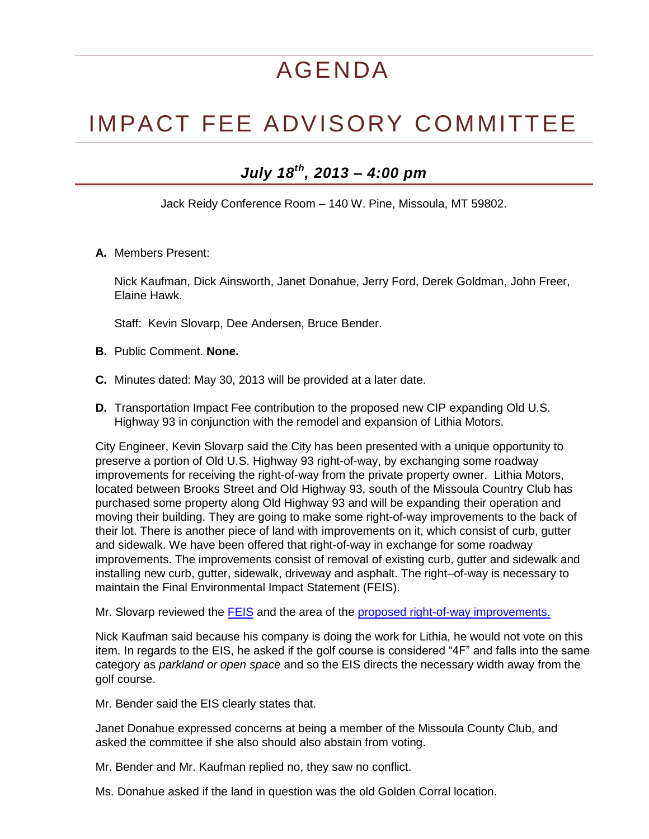## AGENDA

## IMPACT FEE ADVISORY COMMITTEE

## *July 18th, 2013 – 4:00 pm*

Jack Reidy Conference Room – 140 W. Pine, Missoula, MT 59802.

**A.** Members Present:

Nick Kaufman, Dick Ainsworth, Janet Donahue, Jerry Ford, Derek Goldman, John Freer, Elaine Hawk.

Staff: Kevin Slovarp, Dee Andersen, Bruce Bender.

- **B.** Public Comment. **None.**
- **C.** Minutes dated: May 30, 2013 will be provided at a later date.
- **D.** Transportation Impact Fee contribution to the proposed new CIP expanding Old U.S. Highway 93 in conjunction with the remodel and expansion of Lithia Motors.

City Engineer, Kevin Slovarp said the City has been presented with a unique opportunity to preserve a portion of Old U.S. Highway 93 right-of-way, by exchanging some roadway improvements for receiving the right-of-way from the private property owner. Lithia Motors, located between Brooks Street and Old Highway 93, south of the Missoula Country Club has purchased some property along Old Highway 93 and will be expanding their operation and moving their building. They are going to make some right-of-way improvements to the back of their lot. There is another piece of land with improvements on it, which consist of curb, gutter and sidewalk. We have been offered that right-of-way in exchange for some roadway improvements. The improvements consist of removal of existing curb, gutter and sidewalk and installing new curb, gutter, sidewalk, driveway and asphalt. The right–of-way is necessary to maintain the Final Environmental Impact Statement (FEIS).

Mr. Slovarp reviewed the **FEIS** and the area of the [proposed right-of-way improvements.](http://www.ci.missoula.mt.us/DocumentCenter/View/22833)

Nick Kaufman said because his company is doing the work for Lithia, he would not vote on this item. In regards to the EIS, he asked if the golf course is considered "4F" and falls into the same category as *parkland or open space* and so the EIS directs the necessary width away from the golf course.

Mr. Bender said the EIS clearly states that.

Janet Donahue expressed concerns at being a member of the Missoula County Club, and asked the committee if she also should also abstain from voting.

Mr. Bender and Mr. Kaufman replied no, they saw no conflict.

Ms. Donahue asked if the land in question was the old Golden Corral location.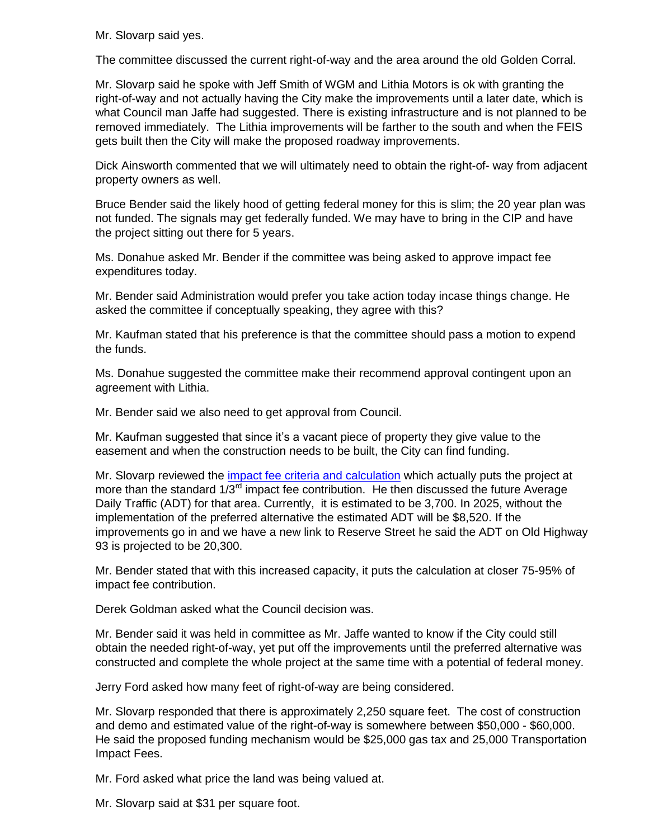Mr. Slovarp said yes.

The committee discussed the current right-of-way and the area around the old Golden Corral.

Mr. Slovarp said he spoke with Jeff Smith of WGM and Lithia Motors is ok with granting the right-of-way and not actually having the City make the improvements until a later date, which is what Council man Jaffe had suggested. There is existing infrastructure and is not planned to be removed immediately. The Lithia improvements will be farther to the south and when the FEIS gets built then the City will make the proposed roadway improvements.

Dick Ainsworth commented that we will ultimately need to obtain the right-of- way from adjacent property owners as well.

Bruce Bender said the likely hood of getting federal money for this is slim; the 20 year plan was not funded. The signals may get federally funded. We may have to bring in the CIP and have the project sitting out there for 5 years.

Ms. Donahue asked Mr. Bender if the committee was being asked to approve impact fee expenditures today.

Mr. Bender said Administration would prefer you take action today incase things change. He asked the committee if conceptually speaking, they agree with this?

Mr. Kaufman stated that his preference is that the committee should pass a motion to expend the funds.

Ms. Donahue suggested the committee make their recommend approval contingent upon an agreement with Lithia.

Mr. Bender said we also need to get approval from Council.

Mr. Kaufman suggested that since it's a vacant piece of property they give value to the easement and when the construction needs to be built, the City can find funding.

Mr. Slovarp reviewed the impact fee [criteria and calculation](http://www.ci.missoula.mt.us/DocumentCenter/View/22834) which actually puts the project at more than the standard  $1/3<sup>rd</sup>$  impact fee contribution. He then discussed the future Average Daily Traffic (ADT) for that area. Currently, it is estimated to be 3,700. In 2025, without the implementation of the preferred alternative the estimated ADT will be \$8,520. If the improvements go in and we have a new link to Reserve Street he said the ADT on Old Highway 93 is projected to be 20,300.

Mr. Bender stated that with this increased capacity, it puts the calculation at closer 75-95% of impact fee contribution.

Derek Goldman asked what the Council decision was.

Mr. Bender said it was held in committee as Mr. Jaffe wanted to know if the City could still obtain the needed right-of-way, yet put off the improvements until the preferred alternative was constructed and complete the whole project at the same time with a potential of federal money.

Jerry Ford asked how many feet of right-of-way are being considered.

Mr. Slovarp responded that there is approximately 2,250 square feet. The cost of construction and demo and estimated value of the right-of-way is somewhere between \$50,000 - \$60,000. He said the proposed funding mechanism would be \$25,000 gas tax and 25,000 Transportation Impact Fees.

Mr. Ford asked what price the land was being valued at.

Mr. Slovarp said at \$31 per square foot.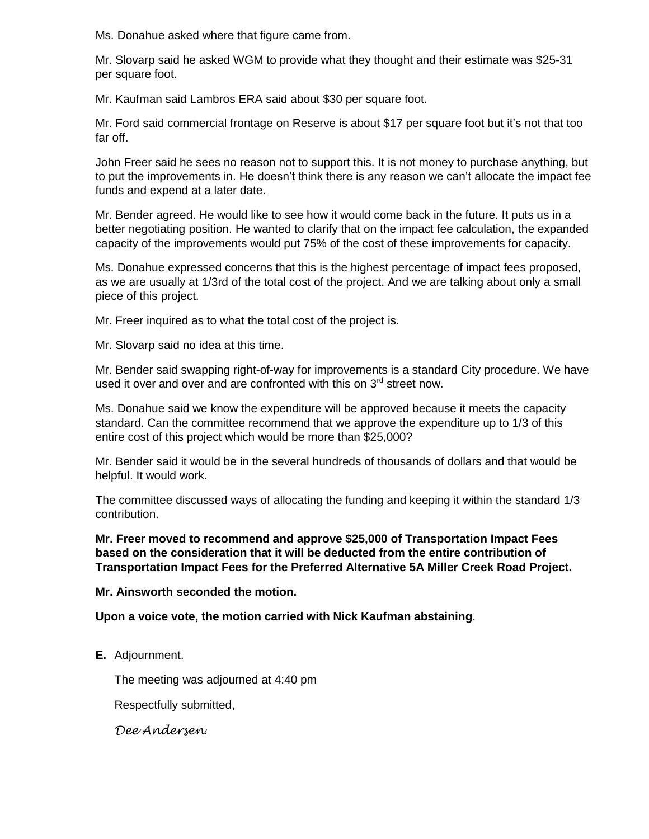Ms. Donahue asked where that figure came from.

Mr. Slovarp said he asked WGM to provide what they thought and their estimate was \$25-31 per square foot.

Mr. Kaufman said Lambros ERA said about \$30 per square foot.

Mr. Ford said commercial frontage on Reserve is about \$17 per square foot but it's not that too far off.

John Freer said he sees no reason not to support this. It is not money to purchase anything, but to put the improvements in. He doesn't think there is any reason we can't allocate the impact fee funds and expend at a later date.

Mr. Bender agreed. He would like to see how it would come back in the future. It puts us in a better negotiating position. He wanted to clarify that on the impact fee calculation, the expanded capacity of the improvements would put 75% of the cost of these improvements for capacity.

Ms. Donahue expressed concerns that this is the highest percentage of impact fees proposed, as we are usually at 1/3rd of the total cost of the project. And we are talking about only a small piece of this project.

Mr. Freer inquired as to what the total cost of the project is.

Mr. Slovarp said no idea at this time.

Mr. Bender said swapping right-of-way for improvements is a standard City procedure. We have used it over and over and are confronted with this on  $3<sup>rd</sup>$  street now.

Ms. Donahue said we know the expenditure will be approved because it meets the capacity standard. Can the committee recommend that we approve the expenditure up to 1/3 of this entire cost of this project which would be more than \$25,000?

Mr. Bender said it would be in the several hundreds of thousands of dollars and that would be helpful. It would work.

The committee discussed ways of allocating the funding and keeping it within the standard 1/3 contribution.

**Mr. Freer moved to recommend and approve \$25,000 of Transportation Impact Fees based on the consideration that it will be deducted from the entire contribution of Transportation Impact Fees for the Preferred Alternative 5A Miller Creek Road Project.** 

**Mr. Ainsworth seconded the motion.**

**Upon a voice vote, the motion carried with Nick Kaufman abstaining**.

**E.** Adjournment.

The meeting was adjourned at 4:40 pm

Respectfully submitted,

*Dee Andersen*.